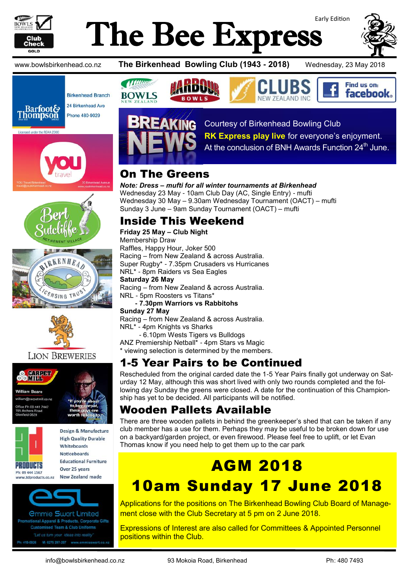

# Early Edition The Bee Express









#### **LION BREWERIES**





ww.3dproducts.co.nz

Design & Manufacture **High Quality Durable** Whitehoards **Noticeboards Educational Furniture** Over 25 years New Zealand made



*<u>Ommie Swart Limited</u>* stional Apparel & Products, Corporate Gifts **Customised Team & Club Uniforms** 419-0926 M: 0275 297-297 www.emmiesv

www.bowlsbirkenhead.co.nz **The Birkenhead Bowling Club (1943 - 2018)** Wednesday, 23 May 2018

Find us on: **facebook** 





Courtesy of Birkenhead Bowling Club

**RK Express play live** for everyone's enjoyment.

At the conclusion of BNH Awards Function 24<sup>th</sup> June.

### On The Greens

*Note: Dress – mufti for all winter tournaments at Birkenhead* Wednesday 23 May - 10am Club Day (AC, Single Entry) - mufti Wednesday 30 May – 9.30am Wednesday Tournament (OACT) – mufti Sunday 3 June – 9am Sunday Tournament (OACT) – mufti

#### Inside This Weekend

**Friday 25 May – Club Night** Membership Draw Raffles, Happy Hour, Joker 500 Racing – from New Zealand & across Australia. Super Rugby\* - 7.35pm Crusaders vs Hurricanes NRL\* - 8pm Raiders vs Sea Eagles **Saturday 26 May** Racing – from New Zealand & across Australia. NRL - 5pm Roosters vs Titans\*

**- 7.30pm Warriors vs Rabbitohs**

**Sunday 27 May**

Racing – from New Zealand & across Australia. NRL\* - 4pm Knights vs Sharks

- 6.10pm Wests Tigers vs Bulldogs

ANZ Premiership Netball\* - 4pm Stars vs Magic \* viewing selection is determined by the members.

### 1-5 Year Pairs to be Continued

Rescheduled from the original carded date the 1-5 Year Pairs finally got underway on Saturday 12 May, although this was short lived with only two rounds completed and the following day Sunday the greens were closed. A date for the continuation of this Championship has yet to be decided. All participants will be notified.

#### Wooden Pallets Available

There are three wooden pallets in behind the greenkeeper's shed that can be taken if any club member has a use for them. Perhaps they may be useful to be broken down for use on a backyard/garden project, or even firewood. Please feel free to uplift, or let Evan Thomas know if you need help to get them up to the car park

# AGM 2018 10am Sunday 17 June 2018

Applications for the positions on The Birkenhead Bowling Club Board of Management close with the Club Secretary at 5 pm on 2 June 2018.

Expressions of Interest are also called for Committees & Appointed Personnel positions within the Club.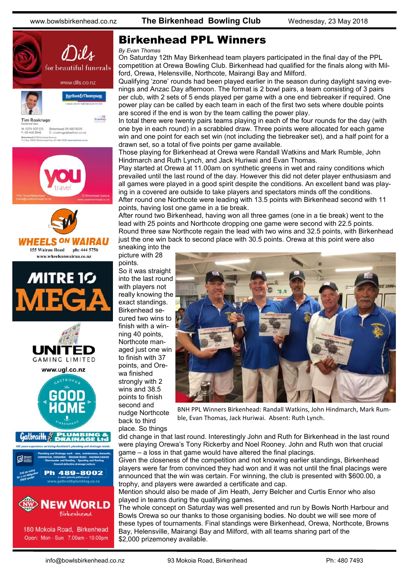

#### Birkenhead PPL Winners

#### *By Evan Thomas*

On Saturday 12th May Birkenhead team players participated in the final day of the PPL competition at Orewa Bowling Club. Birkenhead had qualified for the finals along with Milford, Orewa, Helensville, Northcote, Mairangi Bay and Milford.

Qualifying 'zone' rounds had been played earlier in the season during daylight saving evenings and Anzac Day afternoon. The format is 2 bowl pairs, a team consisting of 3 pairs per club, with 2 sets of 5 ends played per game with a one end tiebreaker if required. One power play can be called by each team in each of the first two sets where double points are scored if the end is won by the team calling the power play.

In total there were twenty pairs teams playing in each of the four rounds for the day (with one bye in each round) in a scrabbled draw. Three points were allocated for each game win and one point for each set win (not including the tiebreaker set), and a half point for a drawn set, so a total of five points per game available.

Those playing for Birkenhead at Orewa were Randall Watkins and Mark Rumble, John Hindmarch and Ruth Lynch, and Jack Huriwai and Evan Thomas.

Play started at Orewa at 11.00am on synthetic greens in wet and rainy conditions which prevailed until the last round of the day. However this did not deter player enthusiasm and all games were played in a good spirit despite the conditions. An excellent band was playing in a covered are outside to take players and spectators minds off the conditions. After round one Northcote were leading with 13.5 points with Birkenhead second with 11 points, having lost one game in a tie break.

After round two Birkenhead, having won all three games (one in a tie break) went to the lead with 25 points and Northcote dropping one game were second with 22.5 points. Round three saw Northcote regain the lead with two wins and 32.5 points, with Birkenhead just the one win back to second place with 30.5 points. Orewa at this point were also sneaking into the

picture with 28 points. So it was straight into the last round with players not really knowing the exact standings. Birkenhead secured two wins to finish with a winning 40 points, Northcote managed just one win to finish with 37 points, and Orewa finished strongly with 2 wins and 38.5 points to finish second and nudge Northcote back to third



BNH PPL Winners Birkenhead: Randall Watkins, John Hindmarch, Mark Rumble, Evan Thomas, Jack Huriwai. Absent: Ruth Lynch.

did change in that last round. Interestingly John and Ruth for Birkenhead in the last round were playing Orewa's Tony Rickerby and Noel Rooney. John and Ruth won that crucial game – a loss in that game would have altered the final placings.

Given the closeness of the competition and not knowing earlier standings, Birkenhead players were far from convinced they had won and it was not until the final placings were announced that the win was certain. For winning, the club is presented with \$600.00, a trophy, and players were awarded a certificate and cap.

Mention should also be made of Jim Heath, Jerry Belcher and Curtis Ennor who also played in teams during the qualifying games.

The whole concept on Saturday was well presented and run by Bowls North Harbour and Bowls Orewa so our thanks to those organising bodies. No doubt we will see more of these types of tournaments. Final standings were Birkenhead, Orewa, Northcote, Browns Bay, Helensville, Mairangi Bay and Milford, with all teams sharing part of the \$2,000 prizemoney available.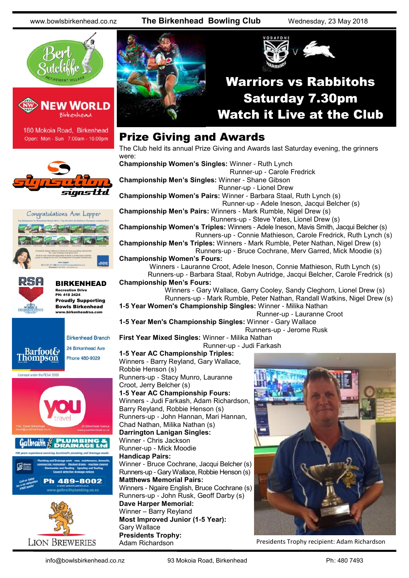www.bowlsbirkenhead.co.nz **The Birkenhead Bowling Club** Wednesday, 23 May 2018





180 Mokoia Road, Birkenhead Open: Mon - Sun 7.00am - 10.00pm







#### BIRKENHEAD Recreation Drive PH: 418 2424 Proudly Supporting

Bowls Birkenhead www.birkenheadrsa.com



Phone 480-9029

Licensed under the REAA 2008

**Thompson** 



**LION BREWERIES** 



#### Prize Giving and Awards

The Club held its annual Prize Giving and Awards last Saturday evening, the grinners were:

**Championship Women's Singles:** Winner - Ruth Lynch Runner-up - Carole Fredrick **Championship Men's Singles:** Winner - Shane Gibson Runner-up - Lionel Drew **Championship Women's Pairs:** Winner - Barbara Staal, Ruth Lynch (s) Runner-up - Adele Ineson, Jacqui Belcher (s) **Championship Men's Pairs:** Winners - Mark Rumble, Nigel Drew (s) Runners-up - Steve Yates, Lionel Drew (s) **Championship Women's Triples:** Winners - Adele Ineson, Mavis Smith, Jacqui Belcher (s) Runners-up - Connie Mathieson, Carole Fredrick, Ruth Lynch (s) **Championship Men's Triples:** Winners - Mark Rumble, Peter Nathan, Nigel Drew (s) Runners-up - Bruce Cochrane, Merv Garred, Mick Moodie (s) **Championship Women's Fours:** Winners - Lauranne Croot, Adele Ineson, Connie Mathieson, Ruth Lynch (s) Runners-up - Barbara Staal, Robyn Autridge, Jacqui Belcher, Carole Fredrick (s) **Championship Men's Fours:** Winners - Gary Wallace, Garry Cooley, Sandy Cleghorn, Lionel Drew (s) Runners-up - Mark Rumble, Peter Nathan, Randall Watkins, Nigel Drew (s) **1-5 Year Women's Championship Singles:** Winner - Milika Nathan Runner-up - Lauranne Croot **1-5 Year Men's Championship Singles:** Winner - Gary Wallace Runners-up - Jerome Rusk **First Year Mixed Singles:** Winner - Milika Nathan Runner-up - Judi Farkash **1-5 Year AC Championship Triples:** Winners - Barry Reyland, Gary Wallace, Robbie Henson (s) Runners-up - Stacy Munro, Lauranne Croot, Jerry Belcher (s) **1-5 Year AC Championship Fours:** Winners - Judi Farkash, Adam Richardson, Barry Reyland, Robbie Henson (s)

Runners-up - John Hannan, Mari Hannan, Chad Nathan, Milika Nathan (s) **Darrington Lanigan Singles:** Winner - Chris Jackson Runner-up - Mick Moodie **Handicap Pairs:** Winner - Bruce Cochrane, Jacqui Belcher (s) Runners-up - Gary Wallace, Robbie Henson (s) **Matthews Memorial Pairs:** Winners - Ngaire English, Bruce Cochrane (s) Runners-up - John Rusk, Geoff Darby (s) **Dave Harper Memorial:** Winner – Barry Reyland **Most Improved Junior (1-5 Year):**  Gary Wallace **Presidents Trophy:** 



Adam Richardson **Presidents Trophy recipient: Adam Richardson**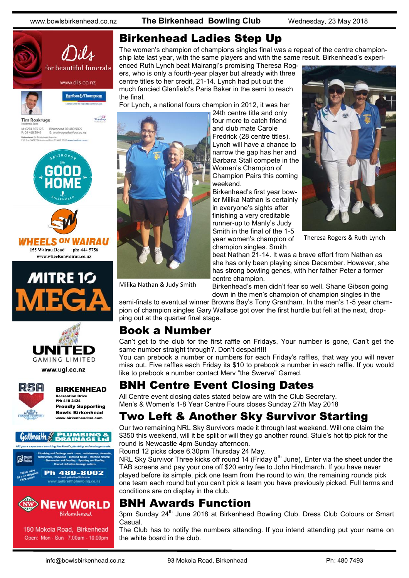www.bowlsbirkenhead.co.nz **The Birkenhead Bowling Club** Wednesday, 23 May 2018







www.wheelsonwairau.co.nz





www.ugl.co.nz



#### BIRKENHEAD Recreation Drive PH: 418 2424 Proudly Supporting Bowls Birkenhead ww.<br>whirkenheadrea.c



180 Mokoia Road, Birkenhead Open: Mon - Sun 7.00am - 10.00pm

#### Birkenhead Ladies Step Up

The women's champion of champions singles final was a repeat of the centre championship late last year, with the same players and with the same result. Birkenhead's experi-

enced Ruth Lynch beat Mairangi's promising Theresa Rogers, who is only a fourth-year player but already with three centre titles to her credit, 21-14. Lynch had put out the much fancied Glenfield's Paris Baker in the semi to reach the final.

For Lynch, a national fours champion in 2012, it was her



24th centre title and only four more to catch friend and club mate Carole Fredrick (28 centre titles). Lynch will have a chance to narrow the gap has her and Barbara Stall compete in the Women's Champion of Champion Pairs this coming weekend.

Birkenhead's first year bowler Milika Nathan is certainly in everyone's sights after finishing a very creditable runner-up to Manly's Judy Smith in the final of the 1-5 year women's champion of champion singles. Smith



Theresa Rogers & Ruth Lynch

beat Nathan 21-14. It was a brave effort from Nathan as she has only been playing since December. However, she has strong bowling genes, with her father Peter a former centre champion.

Birkenhead's men didn't fear so well. Shane Gibson going down in the men's champion of champion singles in the

semi-finals to eventual winner Browns Bay's Tony Grantham. In the men's 1-5 year champion of champion singles Gary Wallace got over the first hurdle but fell at the next, dropping out at the quarter final stage.

#### Book a Number

Can't get to the club for the first raffle on Fridays, Your number is gone, Can't get the same number straight through?. Don't despair!!!!

You can prebook a number or numbers for each Friday's raffles, that way you will never miss out. Five raffles each Friday its \$10 to prebook a number in each raffle. If you would like to prebook a number contact Merv "the Swerve" Garred.

#### BNH Centre Event Closing Dates

All Centre event closing dates stated below are with the Club Secretary. Men's & Women's 1-8 Year Centre Fours closes Sunday 27th May 2018

#### Two Left & Another Sky Survivor Starting

Our two remaining NRL Sky Survivors made it through last weekend. Will one claim the \$350 this weekend, will it be split or will they go another round. Stuie's hot tip pick for the round is Newcastle 4pm Sunday afternoon.

Round 12 picks close 6.30pm Thursday 24 May.

NRL Sky Survivor Three kicks off round 14 (Friday  $8<sup>th</sup>$  June), Enter via the sheet under the TAB screens and pay your one off \$20 entry fee to John Hindmarch. If you have never played before its simple, pick one team from the round to win, the remaining rounds pick one team each round but you can't pick a team you have previously picked. Full terms and conditions are on display in the club.

#### BNH Awards Function

3pm Sunday 24<sup>th</sup> June 2018 at Birkenhead Bowling Club. Dress Club Colours or Smart Casual.

The Club has to notify the numbers attending. If you intend attending put your name on the white board in the club.

Milika Nathan & Judy Smith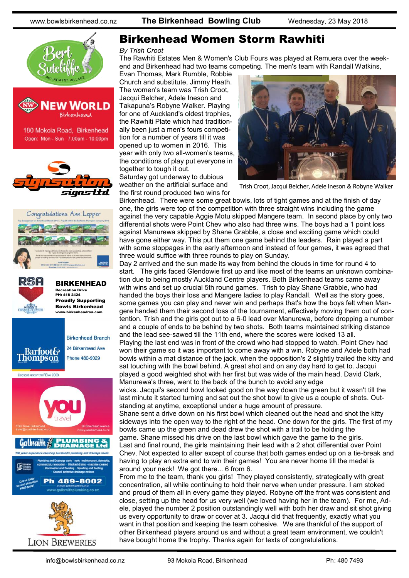









#### Birkenhead Women Storm Rawhiti

#### *By Trish Croot*

The Rawhiti Estates Men & Women's Club Fours was played at Remuera over the weekend and Birkenhead had two teams competing. The men's team with Randall Watkins,

Evan Thomas, Mark Rumble, Robbie Church and substitute, Jimmy Heath. The women's team was Trish Croot, Jacqui Belcher, Adele Ineson and Takapuna's Robyne Walker. Playing for one of Auckland's oldest trophies, the Rawhiti Plate which had traditionally been just a men's fours competition for a number of years till it was opened up to women in 2016. This year with only two all-women's teams, the conditions of play put everyone in together to tough it out.

Saturday got underway to dubious weather on the artificial surface and the first round produced two wins for



Trish Croot, Jacqui Belcher, Adele Ineson & Robyne Walker

Birkenhead. There were some great bowls, lots of tight games and at the finish of day one, the girls were top of the competition with three straight wins including the game against the very capable Aggie Motu skipped Mangere team. In second place by only two differential shots were Point Chev who also had three wins. The boys had a 1 point loss against Manurewa skipped by Shane Grabble, a close and exciting game which could have gone either way. This put them one game behind the leaders. Rain played a part with some stoppages in the early afternoon and instead of four games, it was agreed that three would suffice with three rounds to play on Sunday.

Day 2 arrived and the sun made its way from behind the clouds in time for round 4 to start. The girls faced Glendowie first up and like most of the teams an unknown combination due to being mostly Auckland Centre players. Both Birkenhead teams came away with wins and set up crucial 5th round games. Trish to play Shane Grabble, who had handed the boys their loss and Mangere ladies to play Randall. Well as the story goes, some games you can play and never win and perhaps that's how the boys felt when Mangere handed them their second loss of the tournament, effectively moving them out of contention. Trish and the girls got out to a 6-0 lead over Manurewa, before dropping a number and a couple of ends to be behind by two shots. Both teams maintained striking distance and the lead see-sawed till the 11th end, where the scores were locked 13 all.

Playing the last end was in front of the crowd who had stopped to watch. Point Chev had won their game so it was important to come away with a win. Robyne and Adele both had bowls within a mat distance of the jack, when the opposition's 2 slightly trailed the kitty and sat touching with the bowl behind. A great shot and on any day hard to get to. Jacqui played a good weighted shot with her first but was wide of the main head. David Clark, Manurewa's three, went to the back of the bunch to avoid any edge

wicks. Jacqui's second bowl looked good on the way down the green but it wasn't till the last minute it started turning and sat out the shot bowl to give us a couple of shots. Outstanding at anytime, exceptional under a huge amount of pressure.

Shane sent a drive down on his first bowl which cleaned out the head and shot the kitty sideways into the open way to the right of the head. One down for the girls. The first of my bowls came up the green and dead drew the shot with a trail to be holding the game. Shane missed his drive on the last bowl which gave the game to the girls.

Last and final round, the girls maintaining their lead with a 2 shot differential over Point Chev. Not expected to alter except of course that both games ended up on a tie-break and having to play an extra end to win their games! You are never home till the medal is around your neck! We got there... 6 from 6.

From me to the team, thank you girls! They played consistently, strategically with great concentration, all while continuing to hold their nerve when under pressure. I am stoked and proud of them all in every game they played. Robyne off the front was consistent and close, setting up the head for us very well (we loved having her in the team). For me, Adele, played the number 2 position outstandingly well with both her draw and sit shot giving us every opportunity to draw or cover at 3. Jacqui did that frequently, exactly what you want in that position and keeping the team cohesive. We are thankful of the support of other Birkenhead players around us and without a great team environment, we couldn't have bought home the trophy. Thanks again for texts of congratulations.